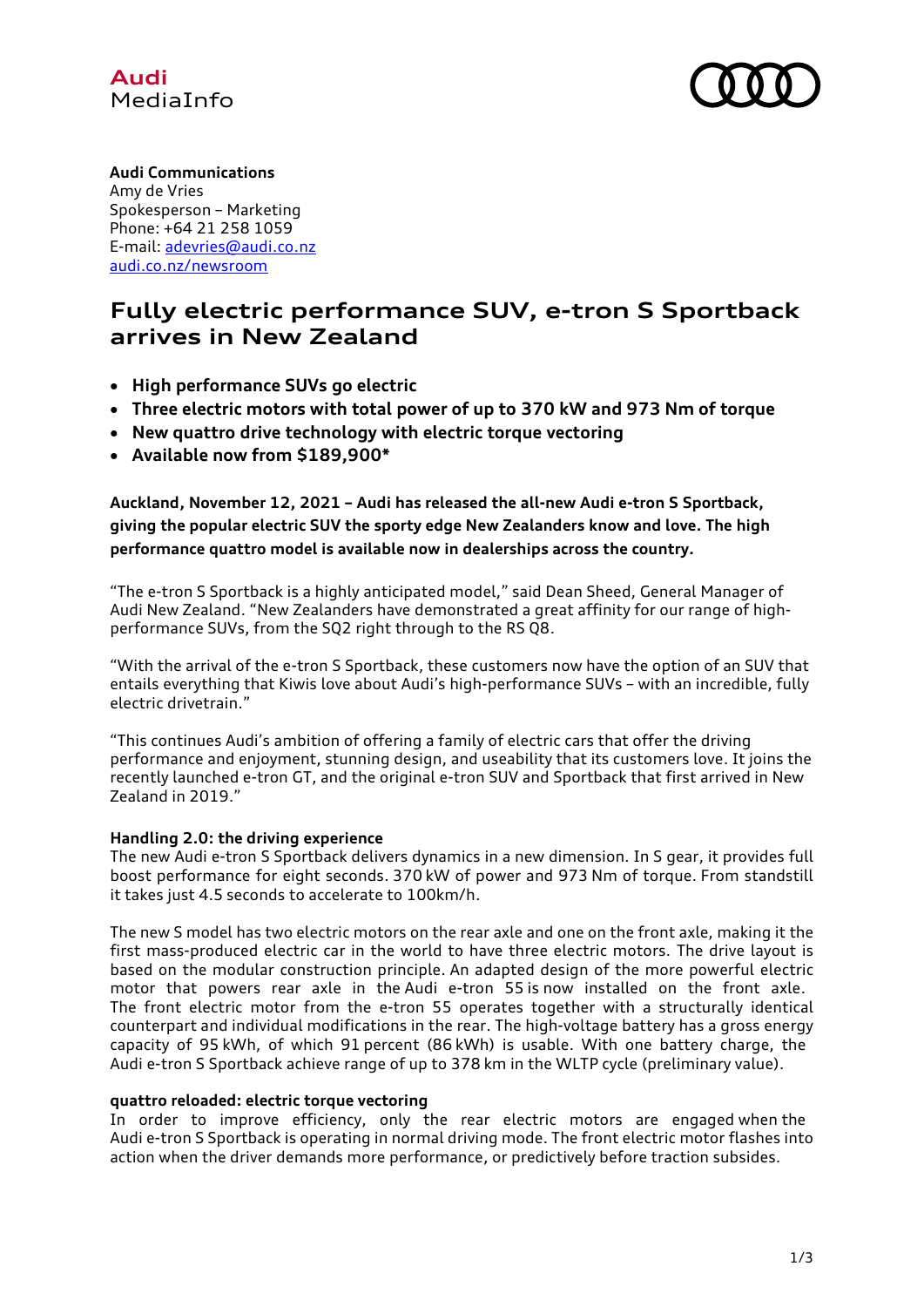



# **Audi Communications**

Amy de Vries Spokesperson – Marketing Phone: +64 21 258 1059 E-mail: [adevries@audi.co.nz](mailto:adevries@audi.co.nz) [audi.co.nz/newsroom](http://www.audi.co.nz/newsroom)

# **Fully electric performance SUV, e-tron S Sportback arrives in New Zealand**

- **High performance SUVs go electric**
- **Three electric motors with total power of up to 370 kW and 973 Nm of torque**
- **New quattro drive technology with electric torque vectoring**
- **Available now from \$189,900\***

**Auckland, November 12, 2021 – Audi has released the all-new Audi e-tron S Sportback, giving the popular electric SUV the sporty edge New Zealanders know and love. The high performance quattro model is available now in dealerships across the country.**

"The e-tron S Sportback is a highly anticipated model," said Dean Sheed, General Manager of Audi New Zealand. "New Zealanders have demonstrated a great affinity for our range of highperformance SUVs, from the SQ2 right through to the RS Q8.

"With the arrival of the e-tron S Sportback, these customers now have the option of an SUV that entails everything that Kiwis love about Audi's high-performance SUVs – with an incredible, fully electric drivetrain."

"This continues Audi's ambition of offering a family of electric cars that offer the driving performance and enjoyment, stunning design, and useability that its customers love. It joins the recently launched e-tron GT, and the original e-tron SUV and Sportback that first arrived in New Zealand in 2019."

## **Handling 2.0: the driving experience**

The new Audi e-tron S Sportback delivers dynamics in a new dimension. In S gear, it provides full boost performance for eight seconds. 370 kW of power and 973 Nm of torque. From standstill it takes just 4.5 seconds to accelerate to 100km/h.

The new S model has two electric motors on the rear axle and one on the front axle, making it the first mass-produced electric car in the world to have three electric motors. The drive layout is based on the modular construction principle. An adapted design of the more powerful electric motor that powers rear axle in the Audi e-tron 55 is now installed on the front axle. The front electric motor from the e-tron 55 operates together with a structurally identical counterpart and individual modifications in the rear. The high-voltage battery has a gross energy capacity of 95 kWh, of which 91 percent (86 kWh) is usable. With one battery charge, the Audi e-tron S Sportback achieve range of up to 378 km in the WLTP cycle (preliminary value).

## **quattro reloaded: electric torque vectoring**

In order to improve efficiency, only the rear electric motors are engaged when the Audi e-tron S Sportback is operating in normal driving mode. The front electric motor flashes into action when the driver demands more performance, or predictively before traction subsides.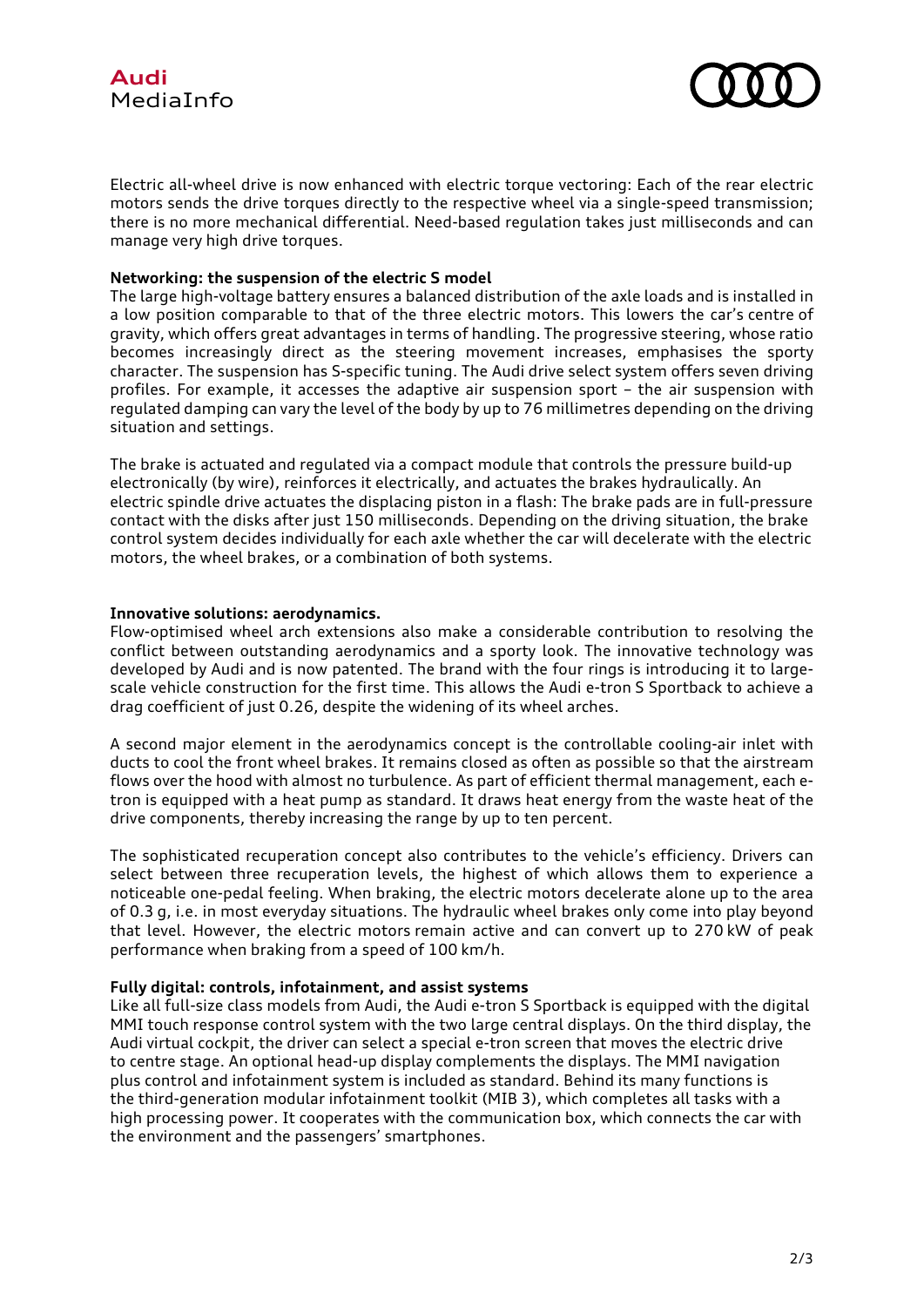



Electric all-wheel drive is now enhanced with electric torque vectoring: Each of the rear electric motors sends the drive torques directly to the respective wheel via a single-speed transmission; there is no more mechanical differential. Need-based regulation takes just milliseconds and can manage very high drive torques.

#### **Networking: the suspension of the electric S model**

The large high-voltage battery ensures a balanced distribution of the axle loads and is installed in a low position comparable to that of the three electric motors. This lowers the car's centre of gravity, which offers great advantages in terms of handling. The progressive steering, whose ratio becomes increasingly direct as the steering movement increases, emphasises the sporty character. The suspension has S-specific tuning. The Audi drive select system offers seven driving profiles. For example, it accesses the adaptive air suspension sport – the air suspension with regulated damping can vary the level of the body by up to 76 millimetres depending on the driving situation and settings.

The brake is actuated and regulated via a compact module that controls the pressure build-up electronically (by wire), reinforces it electrically, and actuates the brakes hydraulically. An electric spindle drive actuates the displacing piston in a flash: The brake pads are in full-pressure contact with the disks after just 150 milliseconds. Depending on the driving situation, the brake control system decides individually for each axle whether the car will decelerate with the electric motors, the wheel brakes, or a combination of both systems.

#### **Innovative solutions: aerodynamics.**

Flow-optimised wheel arch extensions also make a considerable contribution to resolving the conflict between outstanding aerodynamics and a sporty look. The innovative technology was developed by Audi and is now patented. The brand with the four rings is introducing it to largescale vehicle construction for the first time. This allows the Audi e-tron S Sportback to achieve a drag coefficient of just 0.26, despite the widening of its wheel arches.

A second major element in the aerodynamics concept is the controllable cooling-air inlet with ducts to cool the front wheel brakes. It remains closed as often as possible so that the airstream flows over the hood with almost no turbulence. As part of efficient thermal management, each etron is equipped with a heat pump as standard. It draws heat energy from the waste heat of the drive components, thereby increasing the range by up to ten percent.

The sophisticated recuperation concept also contributes to the vehicle's efficiency. Drivers can select between three recuperation levels, the highest of which allows them to experience a noticeable one-pedal feeling. When braking, the electric motors decelerate alone up to the area of 0.3 g, i.e. in most everyday situations. The hydraulic wheel brakes only come into play beyond that level. However, the electric motors remain active and can convert up to 270 kW of peak performance when braking from a speed of 100 km/h.

#### **Fully digital: controls, infotainment, and assist systems**

Like all full-size class models from Audi, the Audi e-tron S Sportback is equipped with the digital MMI touch response control system with the two large central displays. On the third display, the Audi virtual cockpit, the driver can select a special e-tron screen that moves the electric drive to centre stage. An optional head-up display complements the displays. The MMI navigation plus control and infotainment system is included as standard. Behind its many functions is the third-generation modular infotainment toolkit (MIB 3), which completes all tasks with a high processing power. It cooperates with the communication box, which connects the car with the environment and the passengers' smartphones.